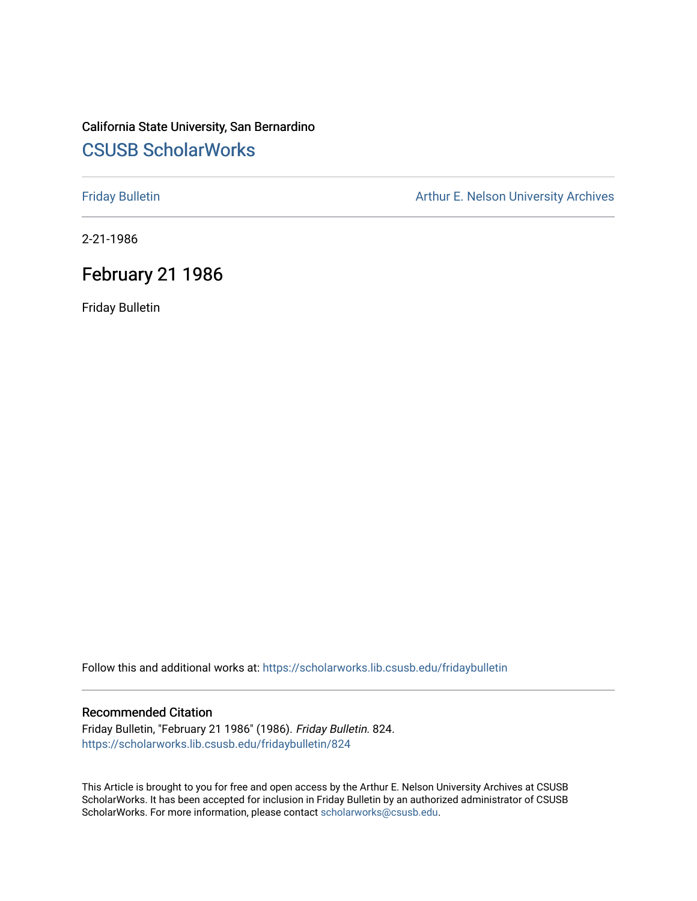# California State University, San Bernardino [CSUSB ScholarWorks](https://scholarworks.lib.csusb.edu/)

[Friday Bulletin](https://scholarworks.lib.csusb.edu/fridaybulletin) **Arthur E. Nelson University Archives** Arthur E. Nelson University Archives

2-21-1986

## February 21 1986

Friday Bulletin

Follow this and additional works at: [https://scholarworks.lib.csusb.edu/fridaybulletin](https://scholarworks.lib.csusb.edu/fridaybulletin?utm_source=scholarworks.lib.csusb.edu%2Ffridaybulletin%2F824&utm_medium=PDF&utm_campaign=PDFCoverPages)

### Recommended Citation

Friday Bulletin, "February 21 1986" (1986). Friday Bulletin. 824. [https://scholarworks.lib.csusb.edu/fridaybulletin/824](https://scholarworks.lib.csusb.edu/fridaybulletin/824?utm_source=scholarworks.lib.csusb.edu%2Ffridaybulletin%2F824&utm_medium=PDF&utm_campaign=PDFCoverPages)

This Article is brought to you for free and open access by the Arthur E. Nelson University Archives at CSUSB ScholarWorks. It has been accepted for inclusion in Friday Bulletin by an authorized administrator of CSUSB ScholarWorks. For more information, please contact [scholarworks@csusb.edu.](mailto:scholarworks@csusb.edu)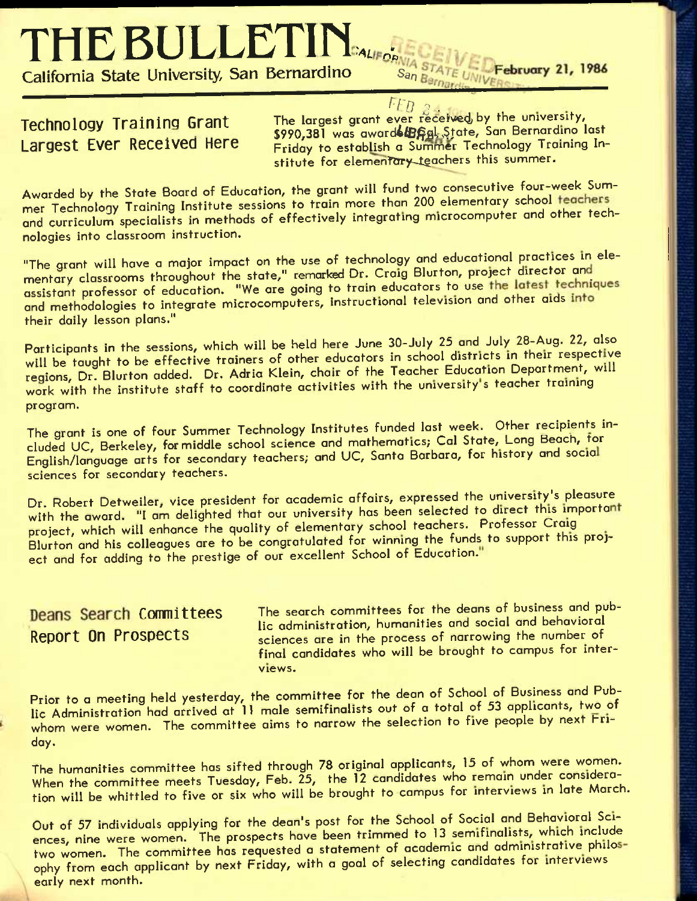**THE BULLETIH.,,** 

**California State University, San Bernardino** S<sub>an</sub>

 $F_{FB}$  . The largest grant ever received by the university, **Technology Training Grant The largest grant ever received by the university,<br><b>Largest Ever Received Here** *Pridov to establish a Summer Technology Training In-***Friday to establish a Summer Technology Training In**stitute for elementary teachers this summer.

February 21, 1986

Awarded by the State Board of Education, the grant will fund two consecutive four-week Summer Technology Training Institute sessions to train more than 200 elementary school and curriculum specialists in methods of effectively integrating microcomputer and other technologies into classroom instruction.

"The grant will have a major impact on the use of technology and educational practices in elementary classrooms throughout the state," remarked Dr. Craig Blurton, project director and mental, status some makegation. "We are going to train educators to use the latest techniques and methodologies to integrate microcomputers, instructional television and other aids into their daily lesson plans."

Participants in the sessions, which will be held here June 30-July 25 and July 28-Aug. 22, also will be taught to be effective trainers of other educators in school districts in their respective regions. Dr. Blurton added. Dr. Adria Klein, chair of the Teacher Education Department, will work with the institute staff to coordinate activities with the university's teacher training program.

The grant is one of four Summer Technology Institutes funded last week. Other recipients ineluded UC, Berkeley, for middle school science and mathematics; Cal State, Long Beach, tor English/language arts for secondary teachers; and UC, Santa Barbara, for history and socia sciences for secondary teachers.

Dr. Robert Detweiler, vice president for academic affairs, expressed the university's pleasure with the award. "I am delighted that our university has been selected to direct this important project, which will enhance the quality of elementary school teachers. Professor Craig Blurton and his colleagues are to be congratulated for winning the funds to support this project and for adding to the prestige of our excellent School of Education."

Deans Search Committees The search committees for the deans of business and public administration, humanities and social and behavioral **Report On Prospects** sciences are in the process of narrowing the number of final candidates who will be brought to campus for interviews.

Prior to a meeting held yesterday, the committee for the dean of School of Business and Publie Administration had arrived at 11 male semifinalists out of a total of 53 applicants, two of whom were women. The committee aims to narrow the selection to five people by next Friday.

The humanities committee has sifted through 78 original applicants, 15 of whom were women. When the committee meets Tuesday, Feb. 25, the 12 candidates who remain under consideration will be whittled to five or six who will be brought to campus for interviews in late March.

Out of 57 individuals applying for the dean's post for the School of Social and Behavioral Sciences, nine were women. The prospects have been trimmed to 13 semifinalists, which include two women. The committee has requested a statement of academic and administrative philosophy from each applicant by next Friday, with a goal of selecting candidates for interviews early next month.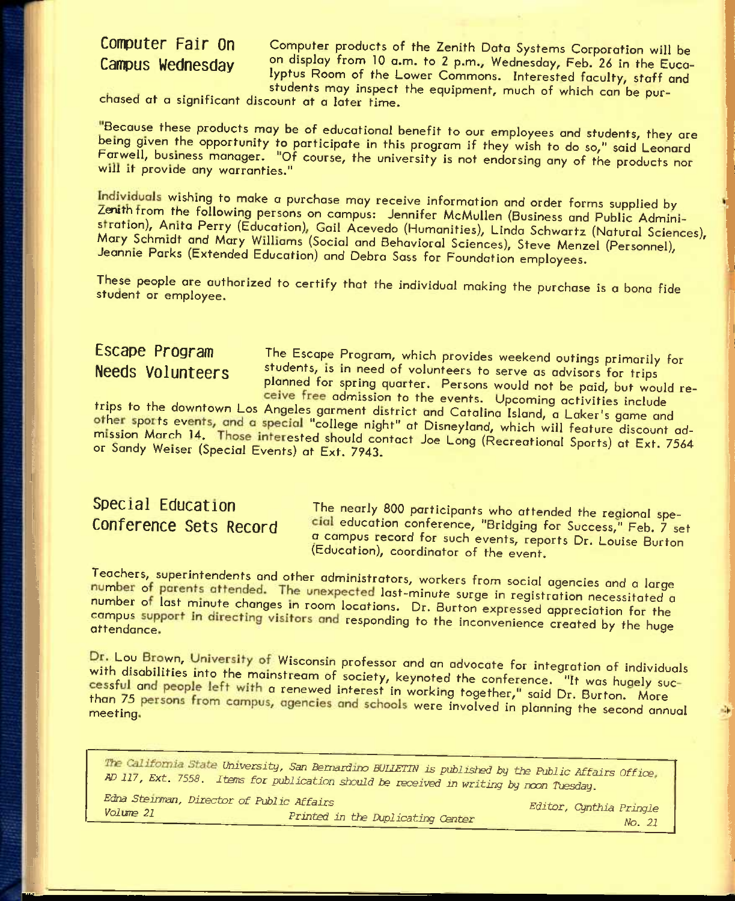## **Computer Fair On Campus Wednesday**

Computer products of the Zenith Data Systems Corporation will be on display from 10 a.m. to 2 p.m., Wednesday, Feb. 26 in the Eucalyptus Room of the Lower Commons. Interested faculty, staff and students may inspect the equipment, much of which can be pur-

chased at a significant discount at a later time.

Because these products may be of educational benefit to our employees and students, they are being given the opportunity to participate in this program if they wish to do so," said Leonard Farwell, business manager. "Of course, the university is not endorsing ony of the products nor will it provide any warranties."

Individuals wishing to make a purchase may receive information and order forms supplied by Zenith from the following persons on campus: Jennifer McMullen (Business and Public Administration), Anita Perry (Education), Gail Acevedo (Humanities), Linda Schwartz (Natural Sciences), Mary Schmidt and Mary Williams (Social and Behavioral Sciences), Steve Menzel (Personnel), Jeannie Parks (Extended Education) and Debra Sass for Foundation employees.

These people are authorized to certify that the individual making the purchase is a bona fide student or employee.

**Escape Program** The Escape Program, which provides weekend outings primarily for **Needs Volunteers** students, is in need of volunteers to serve as advisors for trips planned for spring quarter. Persons would not be paid, but would receive free admission to the events. Upcoming activities include

trips to the downtown Los Angeles garment district and Catalina Island, a Laker's game and other sports events, and a special "college night" at Disneyland, which will feature discount admission March 14. Those interested should contact Joe Long (Recreational Sports) at Ext. 7564<br>or Sandy Weiser (Special Events) at Ext. 7943.

**Special Education** The nearly 800 participants who attended the regional spe-<br>**CONTETENCE SETS RECOLE** Cial education conference, "Bridging for Success," Feb. 7 set cial education conference, "Bridging for Success," Feb. 7 set a campus record for such events, reports Dr. Louise Burton (Education), coordinator of the event.

Teachers, superintendents and other administrators, workers from social agencies and o larae number of parents attended. The unexpected last-minute surge in registration necessitated a number of last minute changes in room locations. Dr. Burton expressed appreciation for the campus support in directing visitors and responding to the inconvenience created by the huge

Dr. Lou Brown, University of Wisconsin professor and an advocate for integration of individuals with disabilities into the mainstream of society, keynoted the conference. "It was hugely successful and people left with a renewed interest in working together," said Dr. Burton. More than 75 persons from campus, agencies and schools were involved in planning the second annual

ymversity, San *Bsmazdmo WlIETm is published by the Public Affairs Office AD 117, Ext. 7558. Iters for publication should be received in writing by noon Tuesday.* 

*Edna StBiiman, Director of Public Affairs Volume 21 Printed in the Duplicating Center* 

*Editor, Cynthia Pringle No. 21*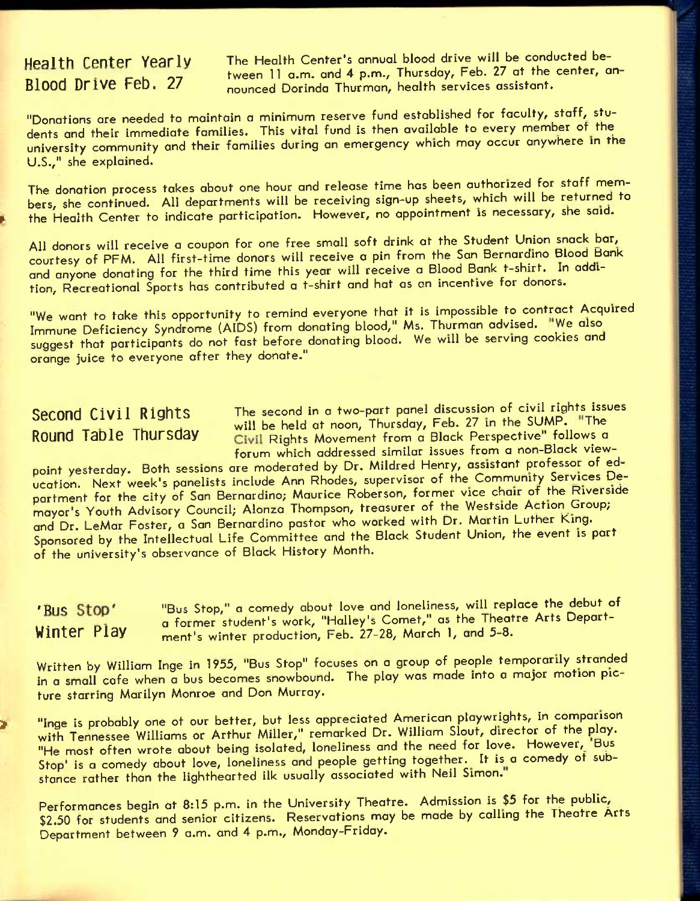Health Center Yearly The Health Center's annual blood drive will be conducted bemeasure concernies to the tween 11 a.m. and 4 p.m., Thursday, Feb. 27 at the center, an-<br>Blood Drive Feb. 27 and nounced Dorinda Thurman, health services assistant. **Bloocl Drive FeD.** *if* nounced Dorinda Thurman, health services assistant.

"Donations are needed to maintain a minimum reserve fund established for faculty, staff, students and their immediate families. This vital fund is then available to every member of the university community and their families during an emergency which may occur anywhere in the U.S.," she explained.

The donation process takes about one hour and release time has been authorized for staff members, she continued. All departments will be receiving sign-up sheets, which will be returned to the Health Center to indicate participation. However, no appointment is necessary, she said.

All donors will receive a coupon for one free small soft drink at the Student Union snack bar, courtesy of PPM. All first-time donors will receive a pin from the San Bernardino Blood Bank and anyone donating for the third time this year will receive a Blood Bank t-shirt. In addition, Recreational Sports has contributed a t-shirt and hat as an incentive for donors.

"We want to take this opportunity to remind everyone that it is impossible to contract Acquired Immune Deficiency Syndrome (AIDS) from donating blood," Ms. Thurman advised. "We also suggest that participants do not fast before donating blood. We will be serving cookies and orange juice to everyone after they donate."

**Second Civil Rights** The second in a two-part panel discussion of civil rights issues will be held at noon, Thursday, Feb. 27 in the SUMP. "The Round Table Thursday **Civil Rights Movement from a Black Perspective"** follows a forum which addressed similar issues from a non-Black view-

point yesterday. Both sessions are moderated by Dr. Mildred Henry, assistant professor of education. Next week's panelists include Ann Rhodes, supervisor of the Community Services Department for the city of San Bernardino; Maurice Roberson, former vice chair of the Riverside mayor's Youth Advisory Council; Alonza Thompson, treasurer of the Westside Action Group; and Dr. LeMar Foster, a San Bernardino pastor who worked with Dr. Martin Luther King. Sponsored by the Intellectual Life Committee and the Black Student Union, the event is part of the university's observance of Black History Month.

'Bus Stop' "Bus Stop," a comedy about love and loneliness, will replace the debut of a former student's work, "Halley's Comet," as the Theatre Arts Depart-Winter Play a former shotent swork, third, sociol, carry and money in the money of the money of the money of the money of the money of the money of the money of the money of the money of the money of the money of the money

Written by William Inge in 1955, "Bus Stop" focuses on a group of people temporarily stranded in a small cafe when a bus becomes snowbound. The play was made into a major motion picture starring Marilyn Monroe and Don Murray.

» "Inqe is probably one ot our better, but less appreciated American playwrights, in comparison with Tennessee Williams or Arthur Miller," remarked Dr. William Slout, director of the play. "He most often wrote about being isolated, loneliness and the need for love. However, 'Bus Stop' is a comedy about love, loneliness and people getting together. It is a comedy of substance rather than the lighthearted ilk usually associated with Neil Simon."

Performances begin at 8:15 p.m. in the University Theatre. Admission is \$5 for the public, \$2.50 for students and senior citizens. Reservations may be made by calling the Theatre Arts Department between 9 a.m. and 4 p.m., Monday-Friday.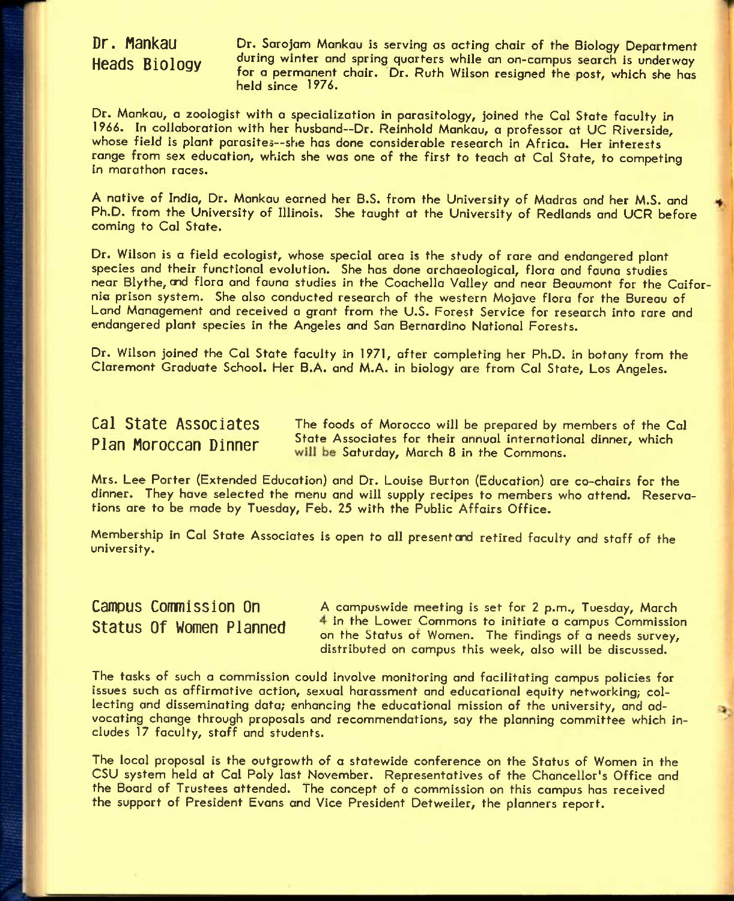## **Dr. Mankau Heads Biology**

Dr. Sarojam Mankau is serving as acting chair of the Biology Department during winter and spring quarters while an on-campus search is underway for a permanent chair. Dr. Ruth Wilson resigned the post, which she has held since 1976.

Dr. Mankau, a zoologist with a specialization in parasitology, joined the Col State faculty in 1966. In collaboration with her husband~Dr. Reinhold Mankau, a professor at UC Riverside, whose field is plant parasites—she has done considerable research in Africa. Her interests range from sex education, which she was one of the first to teach at Cal State, to competing in marathon races.

**A** native of India, Dr. Mankau earned her **B**.S. from the University of Madras and her M.S. and Ph.D. from the University of Illinois. She taught at the University of Redlands and UCR before coming to Col State.

Dr. Wilson is a field ecologist, whose special area is the study of rare and endangered plant species and their functional evolution. She has done archaeological, flora and fauna studies near Blythe, end flora and fauna studies in the Coachella Valley and near Beaumont for the Caifornia prison system. She also conducted research of the western Mojove flora for the Bureau of Land Management and received a grant from the U.S. Forest Service for research into rare and endangered plant species in the Angeles and San Bernardino National Forests.

Dr. Wilson joined the Col State faculty in 1971, after completing her Ph.D. in botany from the Claremont Graduate School. Her B.A. and M.A. in biology are from Col State, Los Angeles.

Cal State Associates The foods of Morocco will be prepared by members of the Cal Plan Moroccan Dinner State Associates for their annual international dinner, which **Plan Moroccan Dinner State Associates for their annual international dinner, which** 

Mrs. Lee Porter (Extended Education) and Dr. Louise Burton (Education) ore co-chairs for the dinner. They hove selected the menu and will supply recipes to members who attend. Reservations ore to be mode by Tuesday, Feb. 25 with the Public Affairs Office.

Membership in Cal State Associates is open to all present end retired faculty and staff of the university.

**Campus Commission On** A campuswide meeting is set for 2 p.m., Tuesday, March **Status Of Women Planned** 4 in the Lower Commons to initiate a campus Commission on the Status ot Women. The findings of a needs survey, distributed on campus this week, also will be discussed.

The tasks of such a commission could involve monitoring and facilitating campus policies for issues such as affirmative action, sexual harassment and educational equity networking; collecting and disseminating data; enhancing the educational mission of the university, and advocating change through proposals and recommendations, say the planning committee which Includes 17 faculty, staff and students.

The local proposal is the outgrowth of a statewide conference on the Status of Women in the CSU system held at Cal Poly last November. Representatives of the Chancellor's Office and the Board of Trustees attended. The concept of a commission on this campus has received the support of President Evans and Vice President Detweiler, the planners report.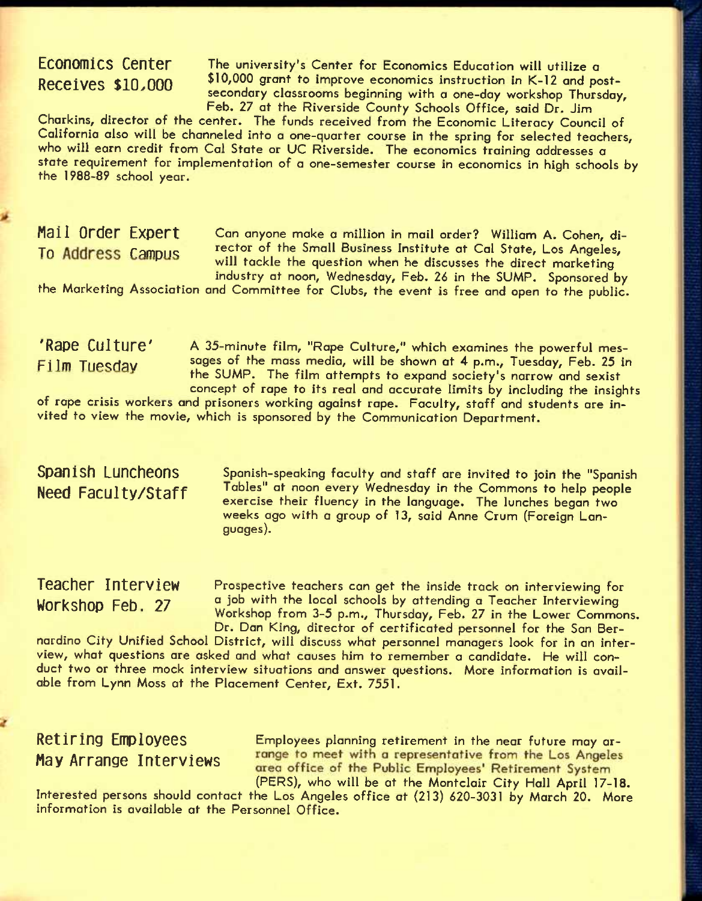ECONOMICS Center The university's Center for Economics Education will utilize a Receives \$10,000 <sup>\$10,000</sup> grant to improve economics instruction in K-12 and postsecondary classrooms beginning with a one-day workshop Thursday, Feb. 27 at the Riverside County Schools Office, said Dr. Jim

Charkins, director of the center. The funds received from the Economic Literacy Council of California also will be channeled into a one-quarter course in the spring for selected teachers, who will earn credit from Cal State or UC Riverside. The economics training addresses a state requirement for implementation of a one-semester course in economics in high schools by the 1988-89 school year.

**Mall Order Expert** Can anyone make a million in mail order? William A. Cohen, di-To Address Campus rector of the Small Business Institute at Cal State, Los Angeles, will tackle the question when he discusses the direct marketing industry at noon, Wednesday, Feb. *26* in the SUMP. Sponsored by

the Marketing Association and Committee for Clubs, the event is free and open to the public.

'Rape Culture' A 35-minute film, "Rape Culture," which examines the powerful mes-Fi Im Tuesday sages of the mass media, will be shown at 4 p.m., Tuesday, Feb. 25 in the SUMP. The film attempts to expand society's narrow and sexist concept of rape to its real and accurate limits by including the insights

of rape crisis workers and prisoners working against rape. Faculty, staff and students are invited to view the movie, which is sponsored by the Communication Department.

## **Spanish Luncheons Need Faculty/Staff**

Spanish-speaking faculty and staff are invited to join the "Spanish Tables" at noon every Wednesday in the Commons to help people exercise their fluency in the language. The lunches began two weeks ago with a group of 13, said Anne Crum (Foreign Languages).

**Teacher Interview Workshop Feb. 27** 

Prospective teachers can get the inside track on interviewing for a job with the local schools by attending a Teacher Interviewing Workshop from 3-5 p.m., Thursday, Feb, 27 in the Lower Commons. Dr. Dan King, director of certificated personnel for the San Ber-

nardino City Unified School District, will discuss what personnel managers look for in an interview, what questions are asked and what causes him to remember *a* candidate. He will conduct two or three mock interview situations and answer questions. More information is available from Lynn Moss at the Placement Center, Ext, 7551.

# **May Arrange Interviews**

Retiring Employees Employees planning retirement in the near future may ar-<br>May Arrange Interviewe and the neet with a representative from the Los Angeles area office of the Public Employees' Retirement System<br>(PERS), who will be at the Montclair City Hall April 17-18.

Interested persons should contact the Los Angeles office at (213) 620-3031 by March 20. More information is available at the Personnel Office.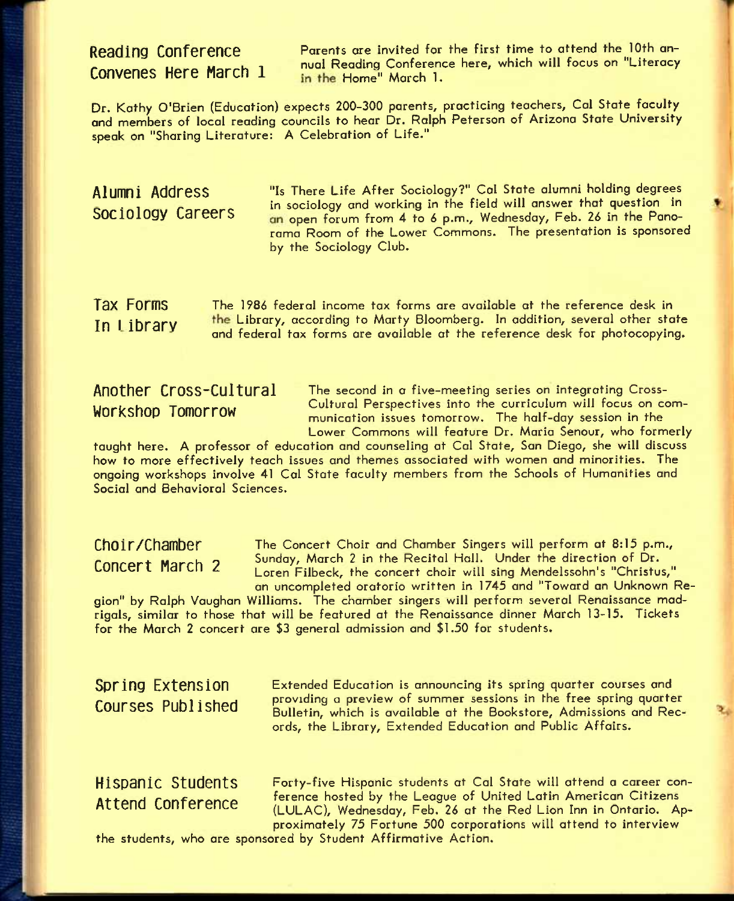**Convenes Here March 1** 

**Reading Conference** Parents are invited for the first time to attend the 10th annual Reading Conference here, which will focus on "Litera<mark>cy</mark>"<br>in the Home" March 1.

Dr. Kathy O'Brien (Education) expects 200-300 parents, practicing teachers, Cal State faculty and members of local reading councils to hear Dr. Ralph Peterson of Arizona State University speak on "Sharing Literature: A Celebration of Life."

Alumni Address "Is There Life After Sociology?" Cal State alumni holding degrees ... in sociology and working in the field will answer that question in an open forum from 4 to 6 p.m., Wednesday, Feb. 26 in the Panorama Room of the Lower Commons. The presentation is sponsored by the Sociology Club.

T3X Forms The 1986 federal income tax forms are available at the reference desk in In I ibrary the Library, according to Marty Bloomberg. In addition, several other state and federal tax forms are available at the reference desk for photocopying.

**Another Cross-Cultural** The second in a five-meeting series on integrating Cross-Workshop Tomorrow Cultural Perspectives into the curriculum will focus on com-<br>Workshop Tomorrow curriculum issues tensores in the helf day session in the munication issues tomorrow. The half-day session in the Lower Commons will feature Dr. Maria Senour, who formerly

taught here. A professor of education and counseling at Cal State, San Diego, she will discuss how to more effectively teach issues and themes associated with women and minorities. The ongoing workshops involve 41 Cal State faculty members from the Schools of Humanities and Social and Behavioral Sciences.

Choir/Chamber The Concert Choir and Chamber Singers will perform at 8:15 p.m., concert March 2 Sunday, March 2 in the Recital Hall. Under the direction of Dr. Loren Filbeck, the concert choir will sing Mendelssohn's "Christus," an uncompleted oratorio written in 1745 and "Toward an Unknown Re-

gion" by Ralph Vaughan Williams. The chamber singers will perform several Renaissance madrigals, similar to those that will be featured at the Renaissance dinner March 13-15. Tickets for the March 2 concert are \$3 general admission and \$1.50 for students.

**Spring Extension Courses Published**  Extended Education is announcing its spring quarter courses and providing a preview of summer sessions in the free spring quarter Bulletin, which is available at the Bookstore, Admissions and Records, the Library, Extended Education and Public Affairs.

**Hispanic Students** Forty-five Hispanic students at Cal State will attend a career con-Attend Conference ference hosted by the League of United Latin American Citizens (LULAC), Wednesday, Feb. 26 at the Red Lion Inn in Ontario. Approximately 75 Fortune 500 corporations will attend to interview

the students, who are sponsored by Student Affirmative Action.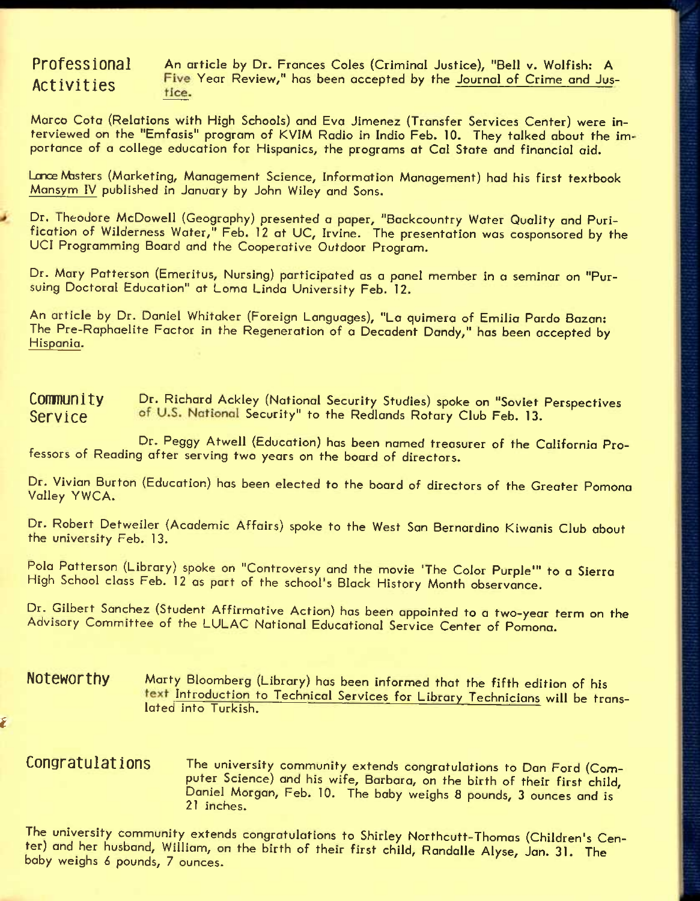*i* 

Professional An article by Dr. Frances Coles {Criminal Justice), "Bell v. Wolfish: A Activities Five Year Review," has been accepted by the <u>Journal of Crime and Jus-</u>

Marco Cota (Relations with High Schools) and Eva Jimenez (Transfer Services Center) were interviewed on the "Emfasis" program of KVIM Radio in Indio Feb. 10. They talked about the importance of a college education for Hispanics, the programs at Cal State and financial aid.

Lmce Masters (Marketing, Management Science, Information Management) had his first textbook Mansym IV pubiished in January by John Wiley and Sons.

Dr. Theodore McDowell (Geography) presented a paper, "Backcountry Water Quality and Purification of Wilderness Water," Feb. 12 at UC, Irvine. The presentation was cosponsored by the UCI Programming Board and the Cooperative Outdoor Program.

Dr. Mary Patterson (Emeritus, Nursing) participated as a panel member in a seminar on "Pursuing Doctoral Education" at Loma Linda University Feb. 12.

An article by Dr. Daniel Whitaker (Foreign Languages), "La quimera of Emilia Pardo Bazan: The Pre-Raphaelite Factor in the Regeneration of a Decadent Dandy," has been accepted by Hispania.

**COMMUNITY** Dr. Richard Ackley (National Security Studies) spoke on "Soviet Perspectives Service of U.S. National Security" to the Redlands Rotary Club Feb. 13.

Dr. Peggy Atwell (Education) has been named treasurer of the California Professors of Reading after serving two years on the board of directors.

Dr. Vivian Burton (Education) has been elected to the board of directors of the Greater Pomona Valley YWCA.

Dr. Robert Detweiler (Academic Affairs) spoke to the West Son Bernardino Kiwanis Club about the university Feb. 13.

Pola Patterson (Library) spoke on "Controversy and the movie 'The Color Purple'" to a Sierra High School class Feb. 12 as part of the school's Black History Month observance.

Dr. Gilbert Sanchez (Student Affirmative Action) has been appointed to a two-year term on the Advisory Committee of the LULAC Notional Educational Service Center of Pomona.

**Noteworthy** Marty Bloomberg (Library) has been informed that the fifth edition of his text Introduction to Technical Services for Library Technicians will be translated into Turkish.

**Congratulations** The university community extends congratulations to Dan Ford (Computer Science) and his wife, Barbara, on the birth of their first child, Daniel Morgan, Feb. 10. The baby weighs 8 pounds, 3 ounces and is 21 inches.

The university community extends congratulations to Shirley Northcutt-Thomos (Children's Center) and her husband, William, on the birth of their first child, Randalle Alyse, Jan. 31. The baby weighs *6* pounds, 7 ounces.